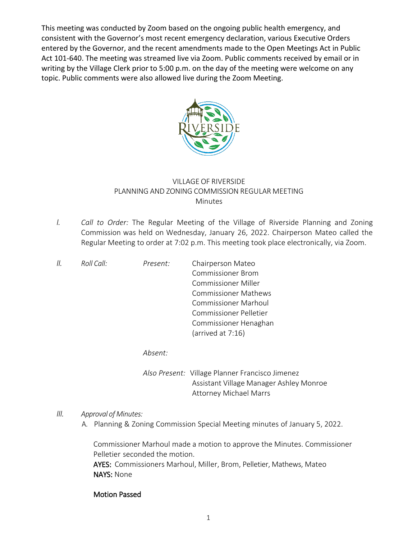This meeting was conducted by Zoom based on the ongoing public health emergency, and consistent with the Governor's most recent emergency declaration, various Executive Orders entered by the Governor, and the recent amendments made to the Open Meetings Act in Public Act 101-640. The meeting was streamed live via Zoom. Public comments received by email or in writing by the Village Clerk prior to 5:00 p.m. on the day of the meeting were welcome on any topic. Public comments were also allowed live during the Zoom Meeting.



## VILLAGE OF RIVERSIDE PLANNING AND ZONING COMMISSION REGULAR MEETING Minutes

*I. Call to Order:* The Regular Meeting of the Village of Riverside Planning and Zoning Commission was held on Wednesday, January 26, 2022. Chairperson Mateo called the Regular Meeting to order at 7:02 p.m. This meeting took place electronically, via Zoom.

| 11. | Roll Call: | Present: | Chairperson Mateo           |
|-----|------------|----------|-----------------------------|
|     |            |          | <b>Commissioner Brom</b>    |
|     |            |          | <b>Commissioner Miller</b>  |
|     |            |          | <b>Commissioner Mathews</b> |
|     |            |          | <b>Commissioner Marhoul</b> |
|     |            |          | Commissioner Pelletier      |
|     |            |          | Commissioner Henaghan       |
|     |            |          | (arrived at 7:16)           |
|     |            |          |                             |

*Absent:*

*Also Present:* Village Planner Francisco Jimenez Assistant Village Manager Ashley Monroe Attorney Michael Marrs

## *III. Approval of Minutes:*

A. Planning & Zoning Commission Special Meeting minutes of January 5, 2022.

Commissioner Marhoul made a motion to approve the Minutes. Commissioner Pelletier seconded the motion.

AYES: Commissioners Marhoul, Miller, Brom, Pelletier, Mathews, Mateo NAYS: None

## Motion Passed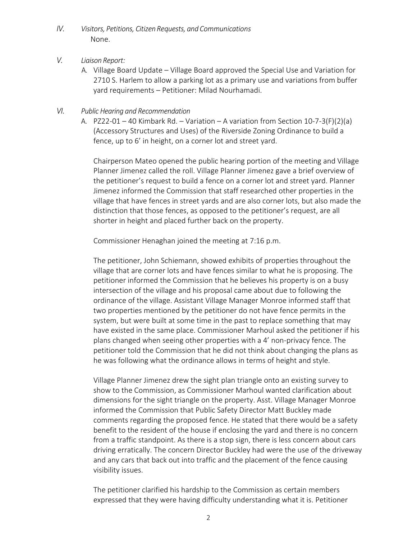- *IV. Visitors, Petitions, Citizen Requests, and Communications* None.
- *V. Liaison Report:*
	- A. Village Board Update Village Board approved the Special Use and Variation for 2710 S. Harlem to allow a parking lot as a primary use and variations from buffer yard requirements – Petitioner: Milad Nourhamadi.
- *VI. Public Hearing and Recommendation* 
	- A.  $PZ22-01-40$  Kimbark Rd. Variation A variation from Section 10-7-3(F)(2)(a) (Accessory Structures and Uses) of the Riverside Zoning Ordinance to build a fence, up to 6' in height, on a corner lot and street yard.

Chairperson Mateo opened the public hearing portion of the meeting and Village Planner Jimenez called the roll. Village Planner Jimenez gave a brief overview of the petitioner's request to build a fence on a corner lot and street yard. Planner Jimenez informed the Commission that staff researched other properties in the village that have fences in street yards and are also corner lots, but also made the distinction that those fences, as opposed to the petitioner's request, are all shorter in height and placed further back on the property.

Commissioner Henaghan joined the meeting at 7:16 p.m.

The petitioner, John Schiemann, showed exhibits of properties throughout the village that are corner lots and have fences similar to what he is proposing. The petitioner informed the Commission that he believes his property is on a busy intersection of the village and his proposal came about due to following the ordinance of the village. Assistant Village Manager Monroe informed staff that two properties mentioned by the petitioner do not have fence permits in the system, but were built at some time in the past to replace something that may have existed in the same place. Commissioner Marhoul asked the petitioner if his plans changed when seeing other properties with a 4' non-privacy fence. The petitioner told the Commission that he did not think about changing the plans as he was following what the ordinance allows in terms of height and style.

Village Planner Jimenez drew the sight plan triangle onto an existing survey to show to the Commission, as Commissioner Marhoul wanted clarification about dimensions for the sight triangle on the property. Asst. Village Manager Monroe informed the Commission that Public Safety Director Matt Buckley made comments regarding the proposed fence. He stated that there would be a safety benefit to the resident of the house if enclosing the yard and there is no concern from a traffic standpoint. As there is a stop sign, there is less concern about cars driving erratically. The concern Director Buckley had were the use of the driveway and any cars that back out into traffic and the placement of the fence causing visibility issues.

The petitioner clarified his hardship to the Commission as certain members expressed that they were having difficulty understanding what it is. Petitioner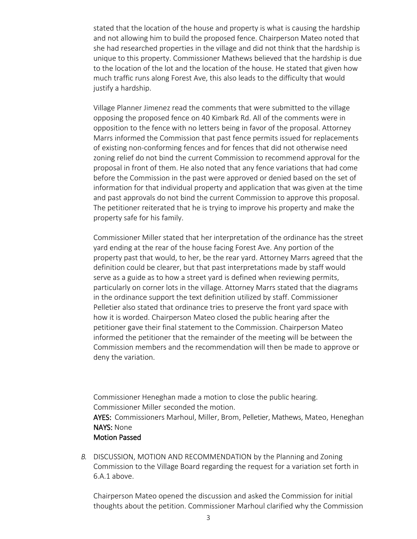stated that the location of the house and property is what is causing the hardship and not allowing him to build the proposed fence. Chairperson Mateo noted that she had researched properties in the village and did not think that the hardship is unique to this property. Commissioner Mathews believed that the hardship is due to the location of the lot and the location of the house. He stated that given how much traffic runs along Forest Ave, this also leads to the difficulty that would justify a hardship.

Village Planner Jimenez read the comments that were submitted to the village opposing the proposed fence on 40 Kimbark Rd. All of the comments were in opposition to the fence with no letters being in favor of the proposal. Attorney Marrs informed the Commission that past fence permits issued for replacements of existing non-conforming fences and for fences that did not otherwise need zoning relief do not bind the current Commission to recommend approval for the proposal in front of them. He also noted that any fence variations that had come before the Commission in the past were approved or denied based on the set of information for that individual property and application that was given at the time and past approvals do not bind the current Commission to approve this proposal. The petitioner reiterated that he is trying to improve his property and make the property safe for his family.

Commissioner Miller stated that her interpretation of the ordinance has the street yard ending at the rear of the house facing Forest Ave. Any portion of the property past that would, to her, be the rear yard. Attorney Marrs agreed that the definition could be clearer, but that past interpretations made by staff would serve as a guide as to how a street yard is defined when reviewing permits, particularly on corner lots in the village. Attorney Marrs stated that the diagrams in the ordinance support the text definition utilized by staff. Commissioner Pelletier also stated that ordinance tries to preserve the front yard space with how it is worded. Chairperson Mateo closed the public hearing after the petitioner gave their final statement to the Commission. Chairperson Mateo informed the petitioner that the remainder of the meeting will be between the Commission members and the recommendation will then be made to approve or deny the variation.

Commissioner Heneghan made a motion to close the public hearing. Commissioner Miller seconded the motion. AYES: Commissioners Marhoul, Miller, Brom, Pelletier, Mathews, Mateo, Heneghan NAYS: None Motion Passed

*B.* DISCUSSION, MOTION AND RECOMMENDATION by the Planning and Zoning Commission to the Village Board regarding the request for a variation set forth in 6.A.1 above.

Chairperson Mateo opened the discussion and asked the Commission for initial thoughts about the petition. Commissioner Marhoul clarified why the Commission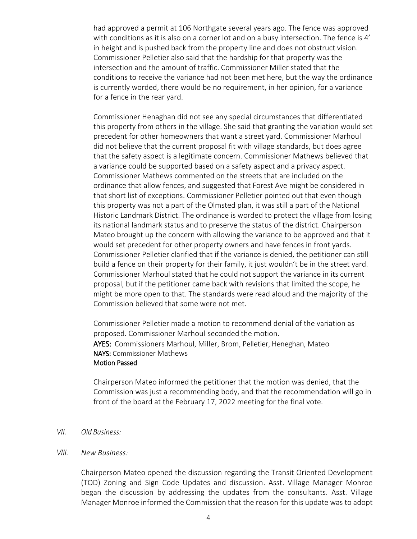had approved a permit at 106 Northgate several years ago. The fence was approved with conditions as it is also on a corner lot and on a busy intersection. The fence is 4' in height and is pushed back from the property line and does not obstruct vision. Commissioner Pelletier also said that the hardship for that property was the intersection and the amount of traffic. Commissioner Miller stated that the conditions to receive the variance had not been met here, but the way the ordinance is currently worded, there would be no requirement, in her opinion, for a variance for a fence in the rear yard.

Commissioner Henaghan did not see any special circumstances that differentiated this property from others in the village. She said that granting the variation would set precedent for other homeowners that want a street yard. Commissioner Marhoul did not believe that the current proposal fit with village standards, but does agree that the safety aspect is a legitimate concern. Commissioner Mathews believed that a variance could be supported based on a safety aspect and a privacy aspect. Commissioner Mathews commented on the streets that are included on the ordinance that allow fences, and suggested that Forest Ave might be considered in that short list of exceptions. Commissioner Pelletier pointed out that even though this property was not a part of the Olmsted plan, it was still a part of the National Historic Landmark District. The ordinance is worded to protect the village from losing its national landmark status and to preserve the status of the district. Chairperson Mateo brought up the concern with allowing the variance to be approved and that it would set precedent for other property owners and have fences in front yards. Commissioner Pelletier clarified that if the variance is denied, the petitioner can still build a fence on their property for their family, it just wouldn't be in the street yard. Commissioner Marhoul stated that he could not support the variance in its current proposal, but if the petitioner came back with revisions that limited the scope, he might be more open to that. The standards were read aloud and the majority of the Commission believed that some were not met.

Commissioner Pelletier made a motion to recommend denial of the variation as proposed. Commissioner Marhoul seconded the motion. AYES: Commissioners Marhoul, Miller, Brom, Pelletier, Heneghan, Mateo NAYS: Commissioner Mathews Motion Passed

Chairperson Mateo informed the petitioner that the motion was denied, that the Commission was just a recommending body, and that the recommendation will go in front of the board at the February 17, 2022 meeting for the final vote.

- *VII. Old Business:*
- *VIII. New Business:*

Chairperson Mateo opened the discussion regarding the Transit Oriented Development (TOD) Zoning and Sign Code Updates and discussion. Asst. Village Manager Monroe began the discussion by addressing the updates from the consultants. Asst. Village Manager Monroe informed the Commission that the reason for this update was to adopt